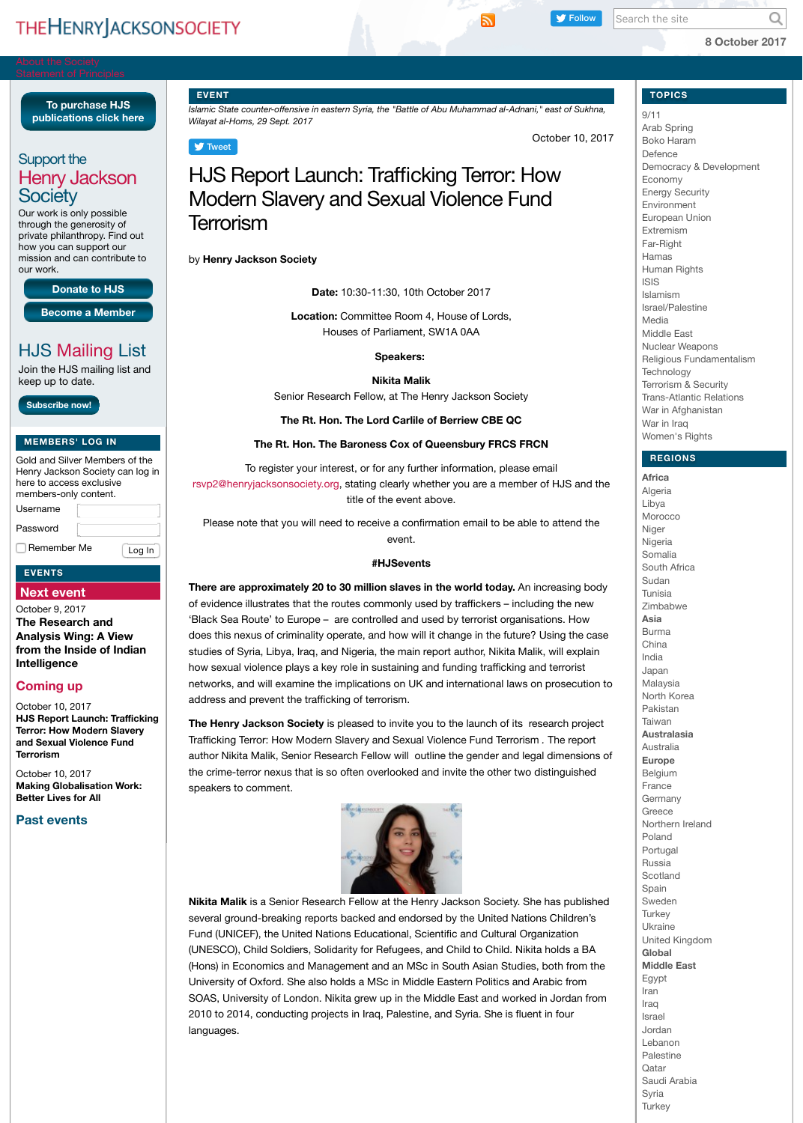| members-only content. |  |        |
|-----------------------|--|--------|
| Username              |  |        |
| Password              |  |        |
| Remember Me           |  | Log In |

## **[EVENTS](http://henryjacksonsociety.org/about-the-society/signatories-to-the-statement-of-principles/)**

# **[Next event](http://henryjacksonsociety.org/support-the-hjs/shop/)**

[October 9, 2](http://henryjacksonsociety.org/about-the-society/contact-us/)017 **[The Resear](http://henryjacksonsociety.org/support-the-hjs/)ch and [Analysis Wing:](http://henryjacksonsociety.org/support-the-hjs/become-a-member/) A View [from the Insid](http://henryjacksonsociety.org/support-the-hjs/donate-to-hjs/)e of Indian [Intelligence](http://henryjacksonsociety.org/support-the-hjs/staff-vacancies/)**

# **[Coming u](http://henryjacksonsociety.org/people/)p**

[October 10, 2017](http://henryjacksonsociety.org/people/professional-staff/) **HJS Report Launch: Trafficking [Terror: How Modern Sla](http://henryjacksonsociety.org/media-centre/media-contact/)very [and Sexual Violenc](http://henryjacksonsociety.org/category/media-centre/editorial/)e Fund [Terrorism](http://henryjacksonsociety.org/category/media-centre/news-coverage/)**

[O](http://henryjacksonsociety.org/category/media-centre/press-release/)[ctober 10, 2017](http://henryjacksonsociety.org/support-the-hjs/donate-to-hjs/) **Making Globalisation Work: [B](http://henryjacksonsociety.org/category/research/briefing/)[etter Lives for All](http://henryjacksonsociety.org/support-the-hjs/become-a-member/)**

# **[Past eve](http://henryjacksonsociety.org/category/research/publication/)[nts](http://henryjacksonsociety.org/category/research/rfe-rl-translations/)**

rsvp2@henryjacksonsociety.org, stating clearly whether you are a member of HJS and the title of the event above.

Please note that you will need to receive a confirmation email event.

#### **#HJSevents**

### There are approximately 20 to 30 million slaves in the world to

of evidence illustrates that the routes commonly used by trafficke 'Black Sea Route' to Europe – are controlled and used by terroris [does this n](https://twitter.com/intent/tweet?ref_src=twsrc%5Etfw&text=HJS%20Report%20Launch%3A%20Trafficking%20Terror%3A%20How%20Modern%20Slavery%20and%20Sexual%20Violence%20Fund%20Terrorism%20%7C%20Henry%20Jackson%20Society&tw_p=tweetbutton&url=http%3A%2F%2Fhenryjacksonsociety.org%2F2017%2F10%2F10%2Fhjs-report-launch-trafficking-terror-how-modern-slavery-and-sexual-violence-fund-terrorism%2F&via=HJS_Org)exus of criminality operate, and how will it change in the future? studies of Syria, Libya, Iraq, and Nigeria, the main report author, I how sexual violence plays a key role in sustaining and funding tra networks, and will examine the implications on UK and internatio address and prevent the trafficking of terrorism.

**The Henry Jackson Society** is pleased to invite you to the launc Trafficking Terror: How Modern Slavery and Sexual Violence Fund author Nikita Malik, Senior Research Fellow will outline the gender the crime-terror nexus that is so often overlooked and invite the other speakers to comment.



**Nikita Malik** is a Senior Research Fellow at the Henry Jackson S several ground-breaking reports backed and endorsed by the Un Fund (UNICEF), the United Nations Educational, Scientific and Cultural Organizations (UNESCO), Child Soldiers, Solidarity for Refugees, and Child to C ([Hons\) in Economics and Manag](mailto:rsvp2@henryjacksonsociety.org)ement and an MSc in South Asian University of Oxford. She also holds a MSc in Middle Eastern Pol SOAS, University of London. Nikita grew up in the Middle East ar 2010 to 2014, conducting projects in Iraq, Palestine, and Syria. S languages.